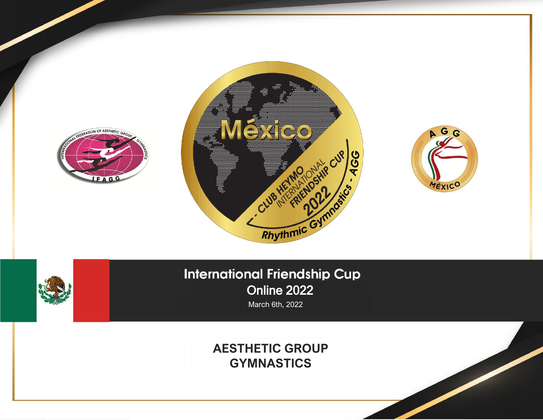

## **International Friendship Cup** Online 2022

March 6th, 2022

## **AESTHETIC GROUP GYMNASTICS**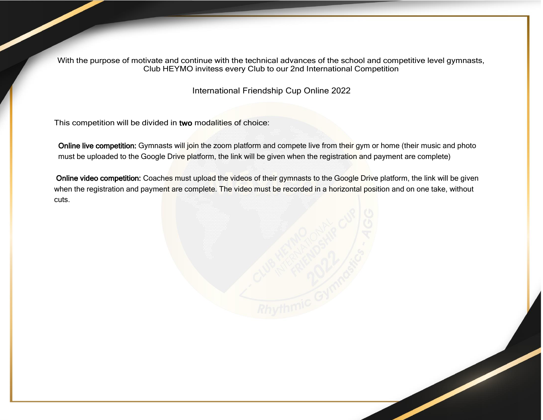With the purpose of motivate and continue with the technical advances of the school and competitive level gymnasts, Club HEYMO invitess every Club to our 2nd International Competition

International Friendship Cup Online 2022

This competition will be divided in two modalities of choice:

Online live competition: Gymnasts will join the zoom platform and compete live from their gym or home (their music and photo must be uploaded to the Google Drive platform, the link will be given when the registration and payment are complete)

Online video competition: Coaches must upload the videos of their gymnasts to the Google Drive platform, the link will be given when the registration and payment are complete. The video must be recorded in a horizontal position and on one take, without cuts.

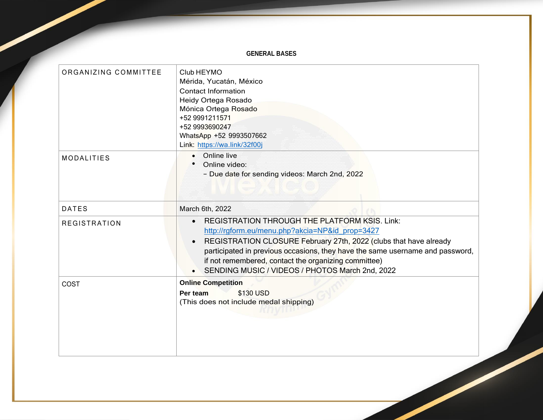## **GENERAL BASES**

| ORGANIZING COMMITTEE | Club HEYMO<br>Mérida, Yucatán, México<br><b>Contact Information</b><br>Heidy Ortega Rosado<br>Mónica Ortega Rosado<br>+52 9991211571<br>+52 9993690247<br>WhatsApp +52 9993507662<br>Link: https://wa.link/32f00j                                                                                                                                                        |  |
|----------------------|--------------------------------------------------------------------------------------------------------------------------------------------------------------------------------------------------------------------------------------------------------------------------------------------------------------------------------------------------------------------------|--|
| <b>MODALITIES</b>    | Online live<br>$\bullet$<br>Online video:<br>- Due date for sending videos: March 2nd, 2022                                                                                                                                                                                                                                                                              |  |
| <b>DATES</b>         | March 6th, 2022                                                                                                                                                                                                                                                                                                                                                          |  |
| <b>REGISTRATION</b>  | <b>REGISTRATION THROUGH THE PLATFORM KSIS. Link:</b><br>http://rgform.eu/menu.php?akcia=NP&id prop=3427<br>REGISTRATION CLOSURE February 27th, 2022 (clubs that have already<br>participated in previous occasions, they have the same username and password,<br>if not remembered, contact the organizing committee)<br>SENDING MUSIC / VIDEOS / PHOTOS March 2nd, 2022 |  |
| COST                 | <b>Online Competition</b><br>\$130 USD<br>Per team<br>(This does not include medal shipping)                                                                                                                                                                                                                                                                             |  |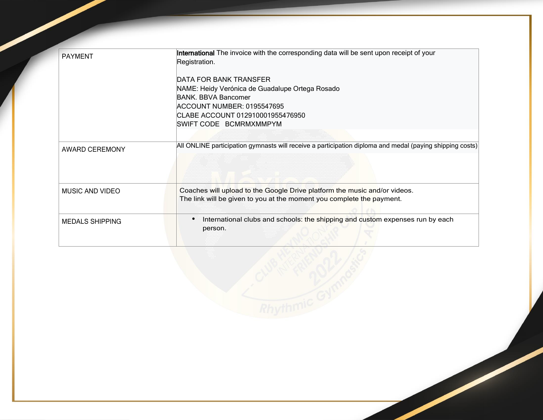| <b>PAYMENT</b>         | International The invoice with the corresponding data will be sent upon receipt of your                                                            |
|------------------------|----------------------------------------------------------------------------------------------------------------------------------------------------|
|                        | Registration.                                                                                                                                      |
|                        |                                                                                                                                                    |
|                        | DATA FOR BANK TRANSFER                                                                                                                             |
|                        | NAME: Heidy Verónica de Guadalupe Ortega Rosado                                                                                                    |
|                        | <b>BANK. BBVA Bancomer</b>                                                                                                                         |
|                        | ACCOUNT NUMBER: 0195547695                                                                                                                         |
|                        | CLABE ACCOUNT 012910001955476950                                                                                                                   |
|                        | SWIFT CODE BCMRMXMMPYM                                                                                                                             |
|                        |                                                                                                                                                    |
| <b>AWARD CEREMONY</b>  | All ONLINE participation gymnasts will receive a participation diploma and medal (paying shipping costs)                                           |
| MUSIC AND VIDEO        | Coaches will upload to the Google Drive platform the music and/or videos.<br>The link will be given to you at the moment you complete the payment. |
| <b>MEDALS SHIPPING</b> | International clubs and schools: the shipping and custom expenses run by each<br>person.                                                           |